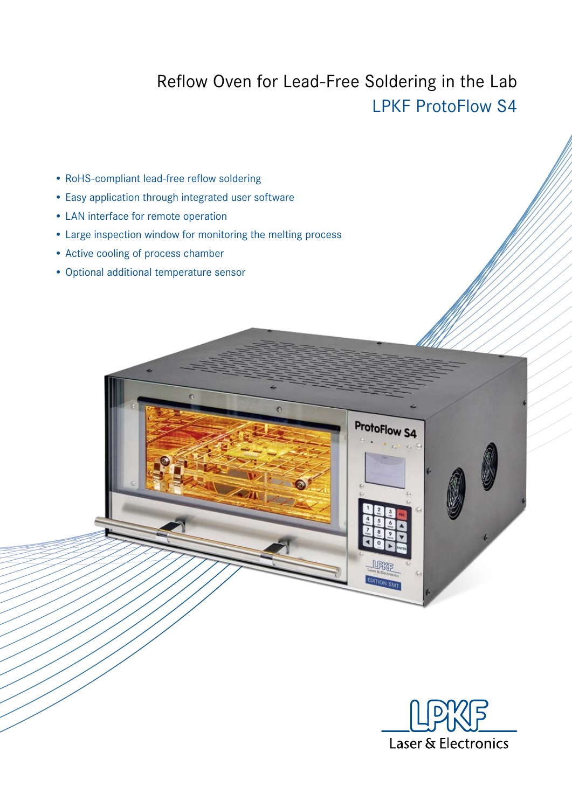## Reflow Oven for Lead-Free Soldering in the Lab LPKF ProtoFlow S4

ProtoFlow S4

- RoHS-compliant lead-free reflow soldering
- Easy application through integrated user software
- LAN interface for remote operation
- Large inspection window for monitoring the melting process
- Active cooling of process chamber
- Optional additional temperature sensor